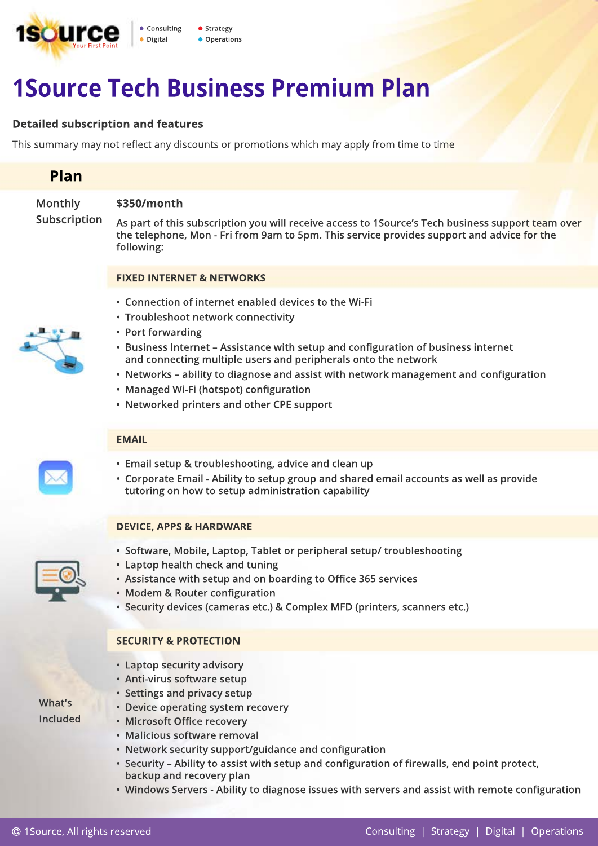

# **1Source Tech Business Premium Plan**

# **Detailed subscription and features**

This summary may not reflect any discounts or promotions which may apply from time to time

# **Plan**

**Monthly** 

## **\$350/month**

**Subscription**

**As part of this subscription you will receive access to 1Source's Tech business support team over the telephone, Mon - Fri from 9am to 5pm. This service provides support and advice for the following:**

#### **FIXED INTERNET & NETWORKS**

- **Connection of internet enabled devices to the Wi-Fi**
- **Troubleshoot network connectivity**



- **Port forwarding**
- **Business Internet Assistance with setup and configuration of business internet and connecting multiple users and peripherals onto the network**
- **Networks ability to diagnose and assist with network management and configuration**
- **Managed Wi-Fi (hotspot) configuration**
- **Networked printers and other CPE support**

#### **EMAIL**

- 
- **Email setup & troubleshooting, advice and clean up**
- **Corporate Email Ability to setup group and shared email accounts as well as provide tutoring on how to setup administration capability**

#### **DEVICE, APPS & HARDWARE**

- **Software, Mobile, Laptop, Tablet or peripheral setup/ troubleshooting**
- **Laptop health check and tuning**
- **Assistance with setup and on boarding to Office 365 services**
- **Modem & Router configuration**
- **Security devices (cameras etc.) & Complex MFD (printers, scanners etc.)**

### **SECURITY & PROTECTION**

- **Laptop security advisory**
- **Anti-virus software setup**
- **Settings and privacy setup**
- **Device operating system recovery**
- **Microsoft Office recovery**
- **Malicious software removal**
- **Network security support/guidance and configuration**
- **Security Ability to assist with setup and configuration of firewalls, end point protect, backup and recovery plan**
- **Windows Servers Ability to diagnose issues with servers and assist with remote configuration**



**What's Included**